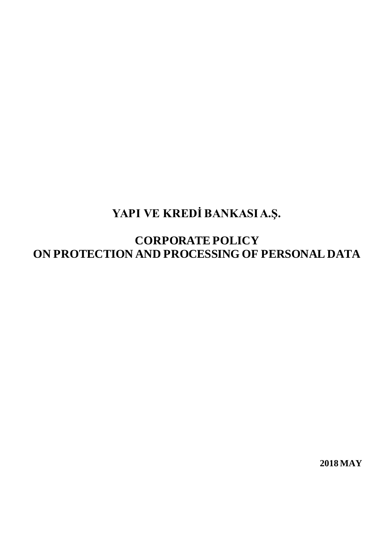# **YAPI VE KREDİ BANKASI A.Ş.**

**CORPORATE POLICY ON PROTECTION AND PROCESSING OF PERSONAL DATA**

**2018 MAY**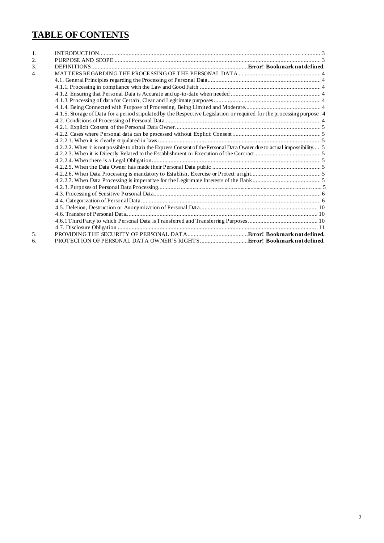# **TABLE OF CONTENTS**

| 1. |                                                                                                                         |  |
|----|-------------------------------------------------------------------------------------------------------------------------|--|
| 2. |                                                                                                                         |  |
| 3. |                                                                                                                         |  |
| 4. |                                                                                                                         |  |
|    |                                                                                                                         |  |
|    |                                                                                                                         |  |
|    |                                                                                                                         |  |
|    |                                                                                                                         |  |
|    |                                                                                                                         |  |
|    | 4.1.5. Storage of Data for a period stipulated by the Respective Legislation or required for the processing purpose 4   |  |
|    |                                                                                                                         |  |
|    |                                                                                                                         |  |
|    |                                                                                                                         |  |
|    |                                                                                                                         |  |
|    | 4.2.2.2. When it is not possible to obtain the Express Consent of the Personal Data Owner due to actual impossibility 5 |  |
|    |                                                                                                                         |  |
|    |                                                                                                                         |  |
|    |                                                                                                                         |  |
|    |                                                                                                                         |  |
|    |                                                                                                                         |  |
|    |                                                                                                                         |  |
|    |                                                                                                                         |  |
|    |                                                                                                                         |  |
|    |                                                                                                                         |  |
|    |                                                                                                                         |  |
|    |                                                                                                                         |  |
|    |                                                                                                                         |  |
| 5. |                                                                                                                         |  |
| б. |                                                                                                                         |  |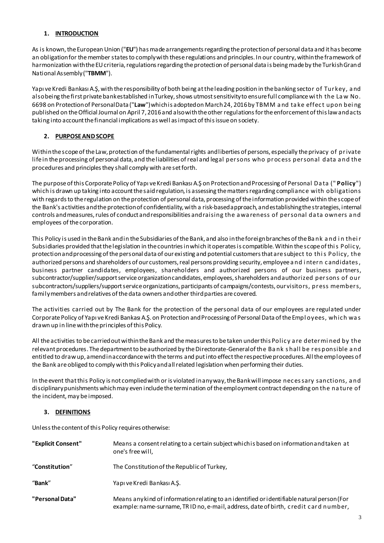# <span id="page-2-0"></span>**1. INTRODUCTION**

As is known, the European Union ("**EU**") has made arrangements regarding the protection of personal data and it has become an obligation for the member states to comply with these regulations and principles. In our country, within the framework of harmonization with the EU criteria, regulations regarding the protection of personal data is being made by the Turkish Grand National Assembly ("**TBMM**").

Yapı ve Kredi Bankası A.Ş, with the responsibility of both being at the leading position in the banking sector of Turkey, a nd also being the first private bank established in Turkey, shows utmost sensitivity to ensure full compliance wi th the La w No. 6698 on Protection of Personal Data ("**Law**") which is adopted on March 24, 2016 by TBMM a nd ta ke effec t upon bei ng published on the Official Journal on April 7, 2016 and also with the other regulations for the enforcement of this law and acts taking into account the financial implications as well as impact of this issue on society.

# <span id="page-2-1"></span>**2. PURPOSE AND SCOPE**

Within the scope of the Law, protection of the fundamental rights and liberties of persons, especially the privacy of private life in the processing of personal data, and the liabilities of real and legal persons who proc ess personal data a nd the procedures and principles they shall comply with are set forth.

The purpose of this Corporate Policy of Yapı ve Kredi Bankası A.Ş on Protection and Processing of Personal Da ta (" **Policy**") which is drawn up taking into account the said regulation, is assessing the matters regarding compliance with obligations with regards to the regulation on the protection of personal data, processing of the information provided within the scope of the Bank's activities and the protection of confidentiality, with a risk-based approach, and establishing the strategies, internal controls and measures, rules of conduct and responsibilities and raising the a wa reness of personal da ta owners a nd employees of the corporation.

This Policy is used in the Bank and in the Subsidiaries of the Bank, and also in the foreign branches of the Ba nk a nd i n thei r Subsidiaries provided that the legislation in the countries in which it operates is compatible. Within the scope of thi s Polic y, protection and processing of the personal data of our existing and potential customers that are subject to thi s Policy, the authorized persons and shareholders of our customers, real persons providing security, employee a nd i ntern c andidates , business partner candidates, employees, shareholders and authorized persons of our business partners, subcontractor/supplier/support service organization candidates, employees, shareholders and authorized persons of our subcontractors/suppliers/support service organizations, participants of campaigns/contests, our visitors, press members, family members and relatives of the data owners and other third parties are covered.

The activities carried out by The Bank for the protection of the personal data of our employees are regulated under Corporate Policy of Yapı ve Kredi Bankası A.Ş. on Protection and Processing of Personal Data of the Empl oyees, which was drawn up in line with the principles of this Policy.

All the activities to be carried out within the Bank and the measures to be taken under this Polic y a re determi ned by the relevant procedures. The department to be authorized by the Directorate-General of the Ba nk s hall be res ponsible a nd entitled to draw up, amend in accordance with the terms and put into effect the respective procedures. All the employees of the Bank are obliged to comply with this Policy and all related legislation when performing their duties.

In the event that this Policy is not complied with or is violated in any way, the Bank will impose nec es sary sanctions, a nd disciplinary punishments which may even include the termination of the employment contract depending on the na ture of the incident, may be imposed.

# **3. DEFINITIONS**

Unless the content of this Policy requires otherwise:

| "Explicit Consent" | Means a consent relating to a certain subject which is based on information and taken at<br>one's free will,                                                                       |
|--------------------|------------------------------------------------------------------------------------------------------------------------------------------------------------------------------------|
| "Constitution"     | The Constitution of the Republic of Turkey,                                                                                                                                        |
| "Bank"             | Yapı ve Kredi Bankası A.Ş.                                                                                                                                                         |
| "Personal Data"    | Means any kind of information relating to an identified or identifiable natural person (For<br>example: name-surname, TRID no, e-mail, address, date of birth, credit card number, |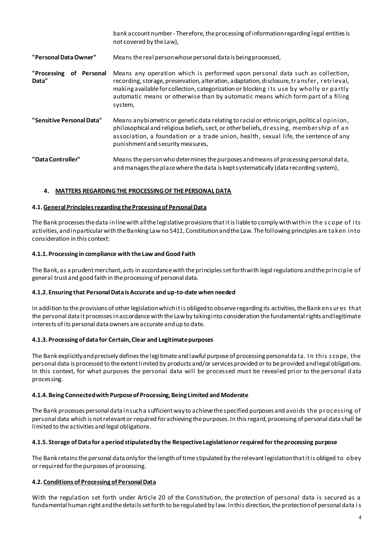|                                     | bank account number - Therefore, the processing of information regarding legal entities is<br>not covered by the Law),                                                                                                                                                                                                                                                |
|-------------------------------------|-----------------------------------------------------------------------------------------------------------------------------------------------------------------------------------------------------------------------------------------------------------------------------------------------------------------------------------------------------------------------|
| "Personal Data Owner"               | Means the real person whose personal data is being processed,                                                                                                                                                                                                                                                                                                         |
| "Processing<br>of Personal<br>Data" | Means any operation which is performed upon personal data such as collection,<br>recording, storage, preservation, alteration, adaptation, disclosure, transfer, retrieval,<br>making available for collection, categorization or blocking its use by wholly or partly<br>automatic means or otherwise than by automatic means which form part of a filing<br>system, |
| "Sensitive Personal Data"           | Means any biometric or genetic data relating to racial or ethnic origin, political opinion,<br>philosophical and religious beliefs, sect, or other beliefs, dressing, membership of an<br>association, a foundation or a trade union, health, sexual life, the sentence of any<br>punishment and security measures,                                                   |
| "Data Controller"                   | Means the person who determines the purposes and means of processing personal data,<br>and manages the place where the data is kept systematically (data recording system),                                                                                                                                                                                           |

#### <span id="page-3-0"></span>**4. MATTERS REGARDING THE PROCESSING OF THE PERSONAL DATA**

#### <span id="page-3-1"></span>**4.1. General Principles regarding the Processing of Personal Data**

The Bank processes the data in line with all the legislative provisions that it is liable to comply with within the s c ope of i ts activities, and in particular with the Banking Law no 5411, Constitution and the Law. The following principles are ta ken into consideration in this context:

#### <span id="page-3-2"></span>**4.1.1. Processing in compliance with the Law and Good Faith**

The Bank, as a prudent merchant, acts in accordance with the principles set forth with legal regulations and the principle of general trust and good faith in the processing of personal data.

#### <span id="page-3-3"></span>**4.1.2. Ensuring that Personal Data is Accurate and up-to-date when needed**

In addition to the provisions of other legislation which it is obliged to observe regarding its activities, the Bank ens ures that the personal data it processesin accordance with the Law by taking into consideration the fundamental rights and legitimate interests of its personal data owners are accurate and up to date.

#### <span id="page-3-4"></span>**4.1.3. Processing of data for Certain, Clear and Legitimate purposes**

The Bank explicitly and precisely defines the legitimate and lawful purpose of processing personal da ta. I n this s cope, the personal data is processed to the extent limited by products and/or services provided or to be provided and legal obligations. In this context, for what purposes the personal data will be processed must be revealed prior to the personal d ata processing.

#### <span id="page-3-5"></span>**4.1.4. Being Connected with Purpose of Processing, Being Limited and Moderate**

The Bank processes personal data in such a sufficient way to achieve the specified purposes and avoids the proc essing of personal data which is not relevant or required for achieving the purposes. In this regard, processing of personal data shall be limited to the activities and legal obligations.

#### <span id="page-3-6"></span>**4.1.5. Storage of Data for a period stipulated by the Respective Legislation or required for the processing purpose**

The Bank retains the personal data only for the length of time stipulated by the relevant legislation that it is obliged to obey or required for the purposes of processing.

#### <span id="page-3-7"></span>**4.2. Conditions of Processing of Personal Data**

With the regulation set forth under Article 20 of the Constitution, the protection of personal data is secured as a fundamental human right and the details set forth to be regulated by law. In this direction, the protection of personal data i s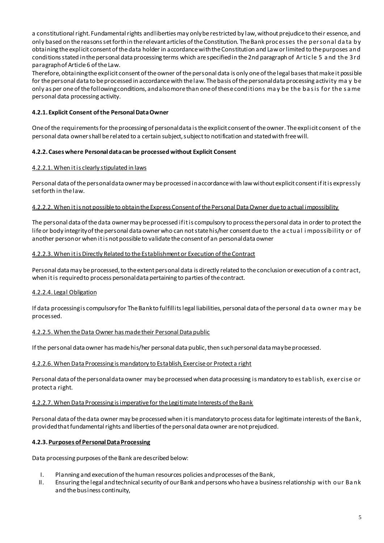a constitutional right. Fundamental rights and liberties may only be restricted by law, without prejudice to their essence, and only based on the reasons set forth in the relevant articles of the Constitution. The Bank proc esses the personal da ta by obtaining the explicit consent of the data holder in accordance with the Constitution and Law or limited to the purposes and conditions stated in the personal data processing terms which are specified in the 2nd paragraph of Artic le 5 a nd the 3rd paragraph of Article 6 of the Law.

Therefore, obtaining the explicit consent of the owner of the personal data is only one of the legal bases that make it possible for the personal data to be processed in accordance with the law. The basis of the personal data processing activity ma y be only as per one of the following conditions, and also more than one of these conditions may be the basis for the same personal data processing activity.

# <span id="page-4-0"></span>**4.2.1. Explicit Consent of the Personal Data Owner**

One of the requirements for the processing of personal data is the explicit consent of the owner. The explicit consent of the personal data owner shall be related to a certain subject, subject to notification and stated with free will.

# <span id="page-4-1"></span>**4.2.2. Cases where Personal data can be processed without Explicit Consent**

#### <span id="page-4-2"></span>4.2.2.1. When it is clearly stipulated in laws

Personal data of the personal data owner may be processed in accordance with law without explicit consent if it is expressly set forth in the law.

#### <span id="page-4-3"></span>4.2.2.2. When it is not possible to obtain the Express Consent of the Personal Data Owner due to actual impossibility

The personal data of the data owner may be processed if it is compulsory to process the personal data in order to protect the life or body integrity of the personal data ownerwho can not state his/her consent due to the a c tua l i mpossibility or of another person or when it is not possible to validate the consent of an personal data owner

#### <span id="page-4-4"></span>4.2.2.3. When it is Directly Related to the Establishment or Execution of the Contract

Personal data may be processed, to the extent personal data is directly related to the conclusion or execution of a c ontract, when it is required to process personal data pertaining to parties of the contract.

#### <span id="page-4-5"></span>4.2.2.4. Legal Obligation

If data processing is compulsory for The Bankto fulfillits legal liabilities, personal data of the personal data owner may be processed.

#### <span id="page-4-6"></span>4.2.2.5. When the Data Owner has made their Personal Data public

If the personal data owner has made his/her personal data public, then such personal data may be processed.

#### <span id="page-4-7"></span>4.2.2.6. When Data Processing is mandatory to Establish, Exercise or Protect a right

Personal data of the personal data owner may be processed when data processing is mandatory to es tablish, exercise or protect a right.

#### <span id="page-4-8"></span>4.2.2.7. When Data Processing is imperative for the Legitimate Interests of the Bank

Personal data of the data owner may be processed when it is mandatory to process data for legitimate interests of the Bank, provided that fundamental rights and liberties of the personal data owner are not prejudiced.

#### **4.2.3. Purposes of Personal Data Processing**

Data processing purposes of the Bank are described below:

- I. Planning and execution of the human resources policies and processes of the Bank,
- II. Ensuring the legal and technical security of our Bank and persons who have a business relationship with our Ba nk and the business continuity,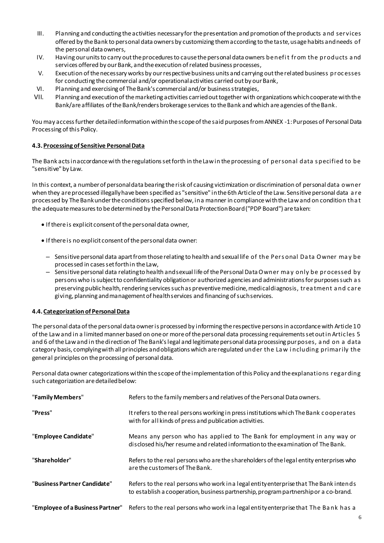- III. Planning and conducting the activities necessary for the presentation and promotion of the products a nd services offered by the Bank to personal data owners by customizing them according to the taste, usage habits and needs of the personal data owners,
- IV. Having our units to carry out the procedures to cause the personal data owners be nefit from the products and services offered by our Bank, and the execution of related business processes,
- V. Execution of the necessary works by our respective business units and carrying out the related business proc esses for conducting the commercial and/or operational activities carried out by our Bank,
- VI. Planning and exercising of The Bank's commercial and/or business strategies,
- VII. Planning and execution of the marketing activities carried out together with organizations which cooperate with the Bank/are affiliates of the Bank/renders brokerage services to the Bank and which are agencies of the Bank.

You may access further detailed information within the scope of the said purposes from ANNEX -1: Purposes of Personal Data Processing of this Policy.

#### <span id="page-5-0"></span>**4.3.Processing of Sensitive Personal Data**

The Bank acts in accordance with the regulations set forth in the Law in the processing of personal data s pecified to be "sensitive" by Law.

In this context, a number of personal data bearing the risk of causing victimization or discrimination of personal data owner when they are processed illegally have been specified as "sensitive" in the 6th Article of the Law. Sensitive personal data a re processed by The Bankunder the conditions specified below, in a manner in compliance with the Law and on condition tha t the adequate measures to be determined by the Personal Data Protection Board ("PDP Board") are taken:

- If there is explicit consent of the personal data owner,
- If there is no explicit consent of the personal data owner:
	- Sensitive personal data apart from those relating to health and sexual life of the Pers onal Da ta Owner ma y be processed in cases set forth in the Law,
	- Sensitive personal data relating to health and sexual life of the Personal Data Owner ma y only be processed by persons who is subject to confidentiality obligation or authorized agencies and administrations for purposes such a s preserving public health, rendering services such as preventive medicine, medical diagnosis, trea tment a nd c are giving, planning and management of health services and financing of such services.

#### <span id="page-5-1"></span>**4.4. Categorization of Personal Data**

The personal data of the personal data owneris processed by informing the respective persons in accordance with Article 10 of the Law and in a limited manner based on one or more of the personal data processing requirements set out in Artic les 5 and 6 of the Law and in the direction of The Bank's legal and legitimate personal data processing purposes, a nd on a data category basis, complying with all principles and obligations which are regulated under the La w i ncluding primarily the general principles on the processing of personal data.

Personal data owner categorizations within the scope of the implementation of this Policy and the explanations regarding such categorization are detailed below:

| "Family Members"                 | Refers to the family members and relatives of the Personal Data owners.                                                                                                        |
|----------------------------------|--------------------------------------------------------------------------------------------------------------------------------------------------------------------------------|
| "Press"                          | It refers to the real persons working in press institutions which The Bank cooperates<br>with for all kinds of press and publication activities.                               |
| "Employee Candidate"             | Means any person who has applied to The Bank for employment in any way or<br>disclosed his/her resume and related information to the examination of The Bank.                  |
| "Shareholder"                    | Refers to the real persons who are the shareholders of the legal entity enterprises who<br>are the customers of The Bank.                                                      |
| "Business Partner Candidate"     | Refers to the real persons who work in a legal entity enterprise that The Bank intends<br>to establish a cooperation, business partnership, program partnership or a co-brand. |
| "Employee of a Business Partner" | Refers to the real persons who work in a legal entity enterprise that The Bank has a                                                                                           |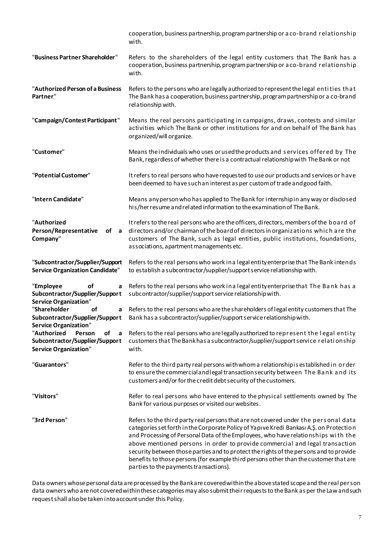|                                                                                                    | cooperation, business partnership, program partnership or a co-brand relationship<br>with.                                                                                                                                                                                                                                                                                                                                                                                                                                                                                       |
|----------------------------------------------------------------------------------------------------|----------------------------------------------------------------------------------------------------------------------------------------------------------------------------------------------------------------------------------------------------------------------------------------------------------------------------------------------------------------------------------------------------------------------------------------------------------------------------------------------------------------------------------------------------------------------------------|
| "Business Partner Shareholder"                                                                     | Refers to the shareholders of the legal entity customers that The Bank has a<br>cooperation, business partnership, program partnership or a co-brand relationship<br>with.                                                                                                                                                                                                                                                                                                                                                                                                       |
| "Authorized Person of a Business<br>Partner"                                                       | Refers to the persons who are legally authorized to represent the legal entities that<br>The Bank has a cooperation, business partnership, program partnership or a co-brand<br>relationship with.                                                                                                                                                                                                                                                                                                                                                                               |
| "Campaign/Contest Participant"                                                                     | Means the real persons participating in campaigns, draws, contests and similar<br>activities which The Bank or other institutions for and on behalf of The Bank has<br>organized/will organize.                                                                                                                                                                                                                                                                                                                                                                                  |
| "Customer"                                                                                         | Means the individuals who uses or used the products and services offered by The<br>Bank, regardless of whether there is a contractual relationship with The Bank or not                                                                                                                                                                                                                                                                                                                                                                                                          |
| "Potential Customer"                                                                               | It refers to real persons who have requested to use our products and services or have<br>been deemed to have such an interest as per custom of trade and good faith.                                                                                                                                                                                                                                                                                                                                                                                                             |
| "Intern Candidate"                                                                                 | Means any person who has applied to The Bank for internship in any way or disclosed<br>his/her resume and related information to the examination of The Bank.                                                                                                                                                                                                                                                                                                                                                                                                                    |
| "Authorized<br>Person/Representative<br>of a<br>Company"                                           | It refers to the real persons who are the officers, directors, members of the board of<br>directors and/or chairman of the board of directors in organizations which are the<br>customers of The Bank, such as legal entities, public institutions, foundations,<br>associations, a partment managements etc.                                                                                                                                                                                                                                                                    |
| "Subcontractor/Supplier/Support<br><b>Service Organization Candidate"</b>                          | Refers to the real persons who work in a legal entity enterprise that The Bank intends<br>to establish a subcontractor/supplier/support service relationship with.                                                                                                                                                                                                                                                                                                                                                                                                               |
| "Employee<br><b>of</b><br>a<br>Subcontractor/Supplier/Support<br><b>Service Organization"</b>      | Refers to the real persons who work in a legal entity enterprise that The Bank has a<br>subcontractor/supplier/support service relationship with.                                                                                                                                                                                                                                                                                                                                                                                                                                |
| "Shareholder<br>of<br>Subcontractor/Supplier/Support<br><b>Service Organization"</b>               | a Refers to the real persons who are the shareholders of legal entity customers that The<br>Bank has a subcontractor/supplier/support service relationship with.                                                                                                                                                                                                                                                                                                                                                                                                                 |
| "Authorized<br>Person<br>of<br>a<br>Subcontractor/Supplier/Support<br><b>Service Organization"</b> | Refers to the real persons who are legally authorized to represent the legal entity<br>customers that The Bank has a subcontractor/supplier/support service relationship<br>with.                                                                                                                                                                                                                                                                                                                                                                                                |
| "Guarantors"                                                                                       | Refer to the third party real persons with whom a relationship is established in order<br>to ensure the commercial and legal transaction security between The Bank and its<br>customers and/or for the credit debt security of the customers.                                                                                                                                                                                                                                                                                                                                    |
| "Visitors"                                                                                         | Refer to real persons who have entered to the physical settlements owned by The<br>Bank for various purposes or visited our websites.                                                                                                                                                                                                                                                                                                                                                                                                                                            |
| "3rd Person"                                                                                       | Refers to the third party real persons that are not covered under the personal data<br>categories set forth in the Corporate Policy of Yapıve Kredi Bankası A.Ş. on Protection<br>and Processing of Personal Data of the Employees, who have relationships with the<br>above mentioned persons in order to provide commercial and legal transaction<br>security between those parties and to protect the rights of the persons and to provide<br>benefits to those persons (for example third persons other than the customer that are<br>parties to the payments transactions). |

Data owners whose personal data are processed by the Bank are covered within the above stated scope and the real person data owners who are not covered within these categories may also submit their requests to the Bank as per the Law and such request shall also be taken into account under this Policy.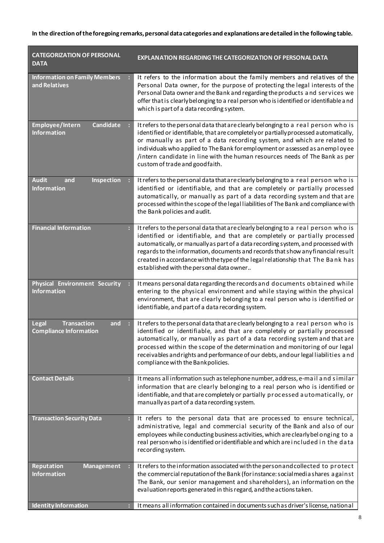# **In the direction of the foregoing remarks, personal data categories and explanations are detailed in the following table.**

| <b>CATEGORIZATION OF PERSONAL</b><br><b>DATA</b>                           | <b>EXPLANATION REGARDING THE CATEGORIZATION OF PERSONAL DATA</b>                                                                                                                                                                                                                                                                                                                                                                                                        |
|----------------------------------------------------------------------------|-------------------------------------------------------------------------------------------------------------------------------------------------------------------------------------------------------------------------------------------------------------------------------------------------------------------------------------------------------------------------------------------------------------------------------------------------------------------------|
| <b>Information on Family Members</b><br>and Relatives                      | It refers to the information about the family members and relatives of the<br>Personal Data owner, for the purpose of protecting the legal interests of the<br>Personal Data owner and the Bank and regarding the products and services we<br>offer that is clearly belonging to a real person who is identified or identifiable and<br>which is part of a data recording system.                                                                                       |
| Employee/Intern<br><b>Candidate</b><br><b>Information</b>                  | It refers to the personal data that are clearly belonging to a real person who is<br>identified or identifiable, that are completely or partially processed automatically,<br>or manually as part of a data recording system, and which are related to<br>individuals who applied to The Bank for employment or assessed as an employee<br>/intern candidate in line with the human resources needs of The Bank as per<br>custom of trade and good faith.               |
| <b>Audit</b><br>and<br>Inspection<br><b>Information</b>                    | It refers to the personal data that are clearly belonging to a real person who is<br>identified or identifiable, and that are completely or partially processed<br>automatically, or manually as part of a data recording system and that are<br>processed within the scope of the legal liabilities of The Bank and compliance with<br>the Bank policies and audit.                                                                                                    |
| <b>Financial Information</b>                                               | It refers to the personal data that are clearly belonging to a real person who is<br>identified or identifiable, and that are completely or partially processed<br>automatically, or manually as part of a data recording system, and processed with<br>regards to the information, documents and records that show any financial result<br>created in accordance with the type of the legal relationship that The Bank has<br>established with the personal data owner |
| <b>Physical Environment Security</b><br><b>Information</b>                 | It means personal data regarding the records and documents obtained while<br>entering to the physical environment and while staying within the physical<br>environment, that are clearly belonging to a real person who is identified or<br>identifiable, and part of a data recording system.                                                                                                                                                                          |
| <b>Transaction</b><br>and<br><b>Legal</b><br><b>Compliance Information</b> | It refers to the personal data that are clearly belonging to a real person who is<br>identified or identifiable, and that are completely or partially processed<br>automatically, or manually as part of a data recording system and that are<br>processed within the scope of the determination and monitoring of our legal<br>receivables and rights and performance of our debts, and our legal liabilities and<br>compliance with the Bank policies.                |
| <b>Contact Details</b><br>÷                                                | It means all information such as telephone number, address, e-mail and similar<br>information that are clearly belonging to a real person who is identified or<br>identifiable, and that are completely or partially processed automatically, or<br>manually as part of a data recording system.                                                                                                                                                                        |
| <b>Transaction Security Data</b>                                           | It refers to the personal data that are processed to ensure technical,<br>administrative, legal and commercial security of the Bank and also of our<br>employees while conducting business activities, which are clearly belonging to a<br>real person who is identified or identifiable and which are included in the data<br>recording system.                                                                                                                        |
| Reputation<br><b>Management</b><br><b>Information</b>                      | It refers to the information associated with the person and collected to protect<br>the commercial reputation of the Bank (for instance: social media shares a gainst<br>The Bank, our senior management and shareholders), an information on the<br>evaluation reports generated in this regard, and the actions taken.                                                                                                                                                |
| <b>Identity Information</b>                                                | It means all information contained in documents such as driver's license, national                                                                                                                                                                                                                                                                                                                                                                                      |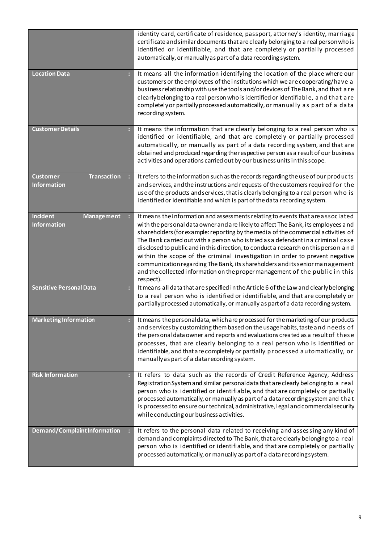<span id="page-8-0"></span>

|                                                             | identity card, certificate of residence, passport, attorney's identity, marriage<br>certificate and similar documents that are clearly belonging to a real person who is<br>identified or identifiable, and that are completely or partially processed<br>automatically, or manually as part of a data recording system.                                                                                                                                                                                                                                                                                                                                                                          |
|-------------------------------------------------------------|---------------------------------------------------------------------------------------------------------------------------------------------------------------------------------------------------------------------------------------------------------------------------------------------------------------------------------------------------------------------------------------------------------------------------------------------------------------------------------------------------------------------------------------------------------------------------------------------------------------------------------------------------------------------------------------------------|
| <b>Location Data</b>                                        | It means all the information identifying the location of the place where our<br>customers or the employees of the institutions which we are cooperating/have a<br>business relationship with use the tools and/or devices of The Bank, and that are<br>clearly belonging to a real person who is identified or identifiable, and that are<br>completely or partially processed automatically, or manually as part of a data<br>recording system.                                                                                                                                                                                                                                                  |
| <b>Customer Details</b>                                     | It means the information that are clearly belonging to a real person who is<br>identified or identifiable, and that are completely or partially processed<br>automatically, or manually as part of a data recording system, and that are<br>obtained and produced regarding the respective person as a result of our business<br>activities and operations carried out by our business units in this scope.                                                                                                                                                                                                                                                                                       |
| <b>Customer</b><br><b>Transaction</b><br><b>Information</b> | It refers to the information such as the records regarding the use of our products<br>and services, and the instructions and requests of the customers required for the<br>use of the products and services, that is clearly belonging to a real person who is<br>identified or identifiable and which is part of the data recording system.                                                                                                                                                                                                                                                                                                                                                      |
| <b>Incident</b><br><b>Management</b><br><b>Information</b>  | It means the information and assessments relating to events that are associated<br>with the personal data owner and are likely to affect The Bank, its employees and<br>shareholders (for example: reporting by the media of the commercial activities of<br>The Bank carried out with a person who is tried as a defendant in a criminal case<br>disclosed to public and in this direction, to conduct a research on this person and<br>within the scope of the criminal investigation in order to prevent negative<br>communication regarding The Bank, its shareholders and its senior management<br>and the collected information on the proper management of the public in this<br>respect). |
| <b>Sensitive Personal Data</b>                              | It means all data that are specified in the Article 6 of the Law and clearly belonging<br>to a real person who is identified or identifiable, and that are completely or<br>partially processed automatically, or manually as part of a data recording system.                                                                                                                                                                                                                                                                                                                                                                                                                                    |
| <b>Marketing Information</b>                                | It means the personal data, which are processed for the marketing of our products<br>and services by customizing them based on the usage habits, taste and needs of<br>the personal data owner and reports and evaluations created as a result of these<br>processes, that are clearly belonging to a real person who is identified or<br>identifiable, and that are completely or partially processed automatically, or<br>manually as part of a data recording system.                                                                                                                                                                                                                          |
| <b>Risk Information</b><br>÷                                | It refers to data such as the records of Credit Reference Agency, Address<br>Registration System and similar personal data that are clearly belonging to a real<br>person who is identified or identifiable, and that are completely or partially<br>processed automatically, or manually as part of a data recordingsystem and that<br>is processed to ensure our technical, administrative, legal and commercial security<br>while conducting our business activities.                                                                                                                                                                                                                          |
| Demand/Complaint Information                                | It refers to the personal data related to receiving and assessing any kind of<br>demand and complaints directed to The Bank, that are clearly belonging to a real<br>person who is identified or identifiable, and that are completely or partially<br>processed automatically, or manually as part of a data recordingsystem.                                                                                                                                                                                                                                                                                                                                                                    |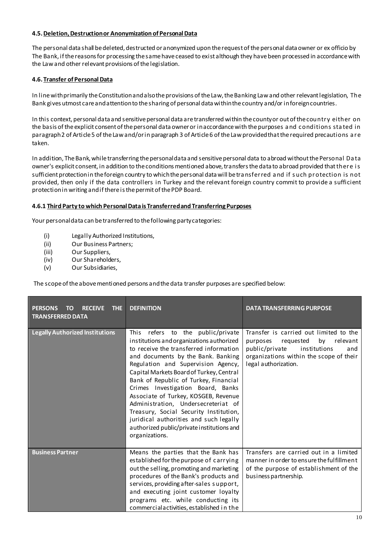#### **4.5. Deletion, Destruction or Anonymization of Personal Data**

The personal data shall be deleted, destructed or anonymized upon the request of the personal data owner or ex officio by The Bank, if the reasons for processing the same have ceased to exist although they have been processed in accordance with the Law and other relevant provisions of the legislation.

# <span id="page-9-0"></span>**4.6. Transfer of Personal Data**

In line with primarily the Constitution and also the provisions of the Law, the Banking Law and other relevant legislation, The Bank gives utmost care and attention to the sharing of personal data within the country and/or in foreign countries.

In this context, personal data and sensitive personal data are transferred within the county or out of the country either on the basis of the explicit consent of the personal data owner or in accordance with the purposes a nd c onditions sta ted in paragraph 2 of Article 5 of the Law and/or in paragraph 3 of Article 6 of the Law provided that the required precautions a re taken.

In addition, The Bank, while transferring the personal data and sensitive personal data to abroad without the Personal Da ta owner's explicit consent, in addition to the conditions mentioned above, transfers the data to abroad provided that there i s sufficient protection in the foreign country to which the personal data will be tra nsferred a nd if s uch protection is not provided, then only if the data controllers in Turkey and the relevant foreign country commit to provide a sufficient protection in writing and if there is the permit of the PDP Board.

#### <span id="page-9-1"></span>**4.6.1 Third Party to which Personal Data is Transferred and Transferring Purposes**

Your personal data can be transferred to the following party categories:

- (i) Legally Authorized Institutions,
- (ii) Our Business Partners;
- (iii) Our Suppliers,
- (iv) Our Shareholders,
- (v) Our Subsidiaries,

The scope of the above mentioned persons and the data transfer purposes are specified below:

| <b>THE</b><br><b>PERSONS</b><br><b>RECEIVE</b><br>TO<br><b>TRANSFERRED DATA</b> | <b>DEFINITION</b>                                                                                                                                                                                                                                                                                                                                                                                                                                                                                                                                                       | <b>DATA TRANSFERRING PURPOSE</b>                                                                                                                                                              |
|---------------------------------------------------------------------------------|-------------------------------------------------------------------------------------------------------------------------------------------------------------------------------------------------------------------------------------------------------------------------------------------------------------------------------------------------------------------------------------------------------------------------------------------------------------------------------------------------------------------------------------------------------------------------|-----------------------------------------------------------------------------------------------------------------------------------------------------------------------------------------------|
| <b>Legally Authorized Institutions</b>                                          | refers<br>This<br>to the public/private<br>institutions and organizations authorized<br>to receive the transferred information<br>and documents by the Bank. Banking<br>Regulation and Supervision Agency,<br>Capital Markets Board of Turkey, Central<br>Bank of Republic of Turkey, Financial<br>Crimes Investigation Board, Banks<br>Associate of Turkey, KOSGEB, Revenue<br>Administration, Undersecreteriat of<br>Treasury, Social Security Institution,<br>juridical authorities and such legally<br>authorized public/private institutions and<br>organizations. | Transfer is carried out limited to the<br>by<br>purposes<br>requested<br>relevant<br>public/private<br>institutions<br>and<br>organizations within the scope of their<br>legal authorization. |
| <b>Business Partner</b>                                                         | Means the parties that the Bank has<br>established for the purpose of carrying<br>out the selling, promoting and marketing<br>procedures of the Bank's products and<br>services, providing after-sales support,<br>and executing joint customer loyalty<br>programs etc. while conducting its<br>commercialactivities, established in the                                                                                                                                                                                                                               | Transfers are carried out in a limited<br>manner in order to ensure the fulfillment<br>of the purpose of establishment of the<br>business partnership.                                        |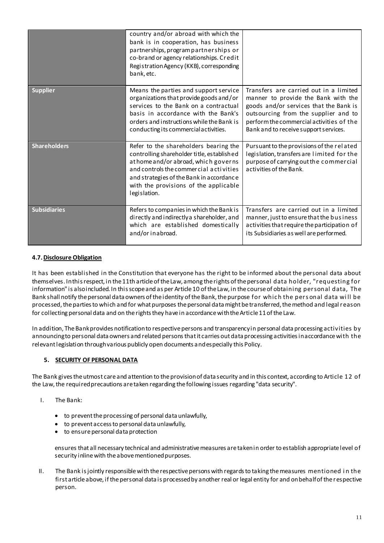|                     | country and/or abroad with which the<br>bank is in cooperation, has business<br>partnerships, program partnerships or<br>co-brand or agency relationships. Credit<br>Registration Agency (KKB), corresponding<br>bank, etc.                                               |                                                                                                                                                                                                                                                      |
|---------------------|---------------------------------------------------------------------------------------------------------------------------------------------------------------------------------------------------------------------------------------------------------------------------|------------------------------------------------------------------------------------------------------------------------------------------------------------------------------------------------------------------------------------------------------|
| <b>Supplier</b>     | Means the parties and support service<br>organizations that provide goods and/or<br>services to the Bank on a contractual<br>basis in accordance with the Bank's<br>orders and instructions while the Bank is<br>conducting its commercial activities.                    | Transfers are carried out in a limited<br>manner to provide the Bank with the<br>goods and/or services that the Bank is<br>outsourcing from the supplier and to<br>perform the commercial activities of the<br>Bank and to receive support services. |
| <b>Shareholders</b> | Refer to the shareholders bearing the<br>controlling shareholder title, established<br>athome and/or abroad, which governs<br>and controls the commercial activities<br>and strategies of the Bank in accordance<br>with the provisions of the applicable<br>legislation. | Pursuant to the provisions of the related<br>legislation, transfers are limited for the<br>purpose of carrying out the commercial<br>activities of the Bank.                                                                                         |
| <b>Subsidiaries</b> | Refers to companies in which the Bank is<br>directly and indirectly a shareholder, and<br>which are established domestically<br>and/or inabroad.                                                                                                                          | Transfers are carried out in a limited<br>manner, just to ensure that the business<br>activities that require the participation of<br>its Subsidiaries as well are performed.                                                                        |

# <span id="page-10-0"></span>**4.7. Disclosure Obligation**

It has been established in the Constitution that everyone has the right to be informed about the personal data about themselves. In this respect, in the 11th article of the Law, among the rights of the personal data holder, "requesting for information" is also included. In this scope and as per Article 10 of the Law, in the course of obtaining personal data, The Bank shall notify the personal data owners of the identity of the Bank, the purpose for whic h the pers onal data wi ll be processed, the parties to which and for what purposes the personal data might be transferred, the method and legal reason for collecting personal data and on the rights they have in accordance with the Article 11 of the Law.

In addition, The Bankprovides notification to respective persons and transparency in personal data processing activities by announcing to personal data owners and related persons that it carries out data processing activities in accordance with the relevant legislation through various publicly open documents and especially this Policy.

# **5. SECURITY OF PERSONAL DATA**

The Bank gives the utmost care and attention to the provision of data security and in this context, according to Article 12 of the Law, the required precautions are taken regarding the following issues regarding "data security".

- I. The Bank:
	- to prevent the processing of personal data unlawfully,
	- to prevent access to personal data unlawfully,
	- to ensure personal data protection

ensures that all necessary technical and administrative measures are taken in order to establish appropriate level of security inline with the above mentioned purposes.

II. The Bank is jointly responsible with the respective persons with regards to taking the measures mentioned i n the first article above, if the personal data is processed by another real or legal entity for and on behalf of the respective person.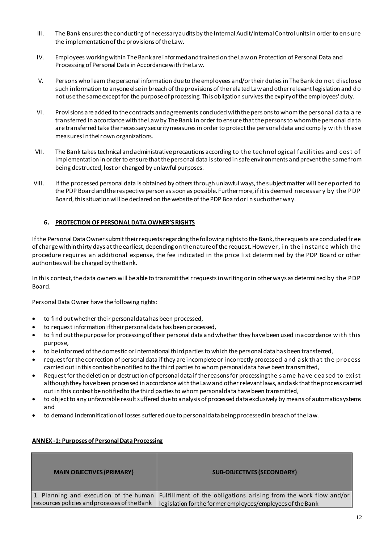- III. The Bank ensures the conducting of necessary audits by the Internal Audit/Internal Control units in order to ens ure the implementation of the provisions of the Law.
- IV. Employees working within The Bankare informed and trained on the Law on Protection of Personal Data and Processing of Personal Data in Accordance with the Law.
- V. Persons who learn the personal information due to the employees and/or their duties in The Bank do not disclose such information to anyone else in breach of the provisions of the related Law and other relevant legislation and do not use the same except for the purpose of processing. This obligation survives the expiry of the employees' duty.
- VI. Provisions are added to the contracts and agreements concluded with the pers ons to whom the personal da ta a re transferred in accordance with the Law by The Bank in order to ensure that the persons to whom the personal data are transferred take the necessary security measures in order to protect the personal data and comply wi th th ese measures in their own organizations.
- VII. The Bank takes technical and administrative precautions according to the tec hnol ogical fa cilities a nd c ost of implementation in order to ensure that the personal data is stored in safe environments and prevent the same from being destructed, lost or changed by unlawful purposes.
- VIII. If the processed personal data is obtained by others through unlawful ways, the subject matter will be reported to the PDP Board and the respective person as soon as possible. Furthermore, if it is deemed nec essary by the PDP Board, this situation will be declared on the website of the PDP Board or in such other way.

# **6. PROTECTION OF PERSONAL DATA OWNER'S RIGHTS**

If the Personal Data Owner submit their requests regarding the following rights to the Bank, the requests are concluded free of charge within thirty days at the earliest, depending on the nature of the request. However, i n the i nstanc e which the procedure requires an additional expense, the fee indicated in the price list determined by the PDP Board or other authorities will be charged by the Bank.

In this context, the data owners will be able to transmit their requests in writing or in other ways as determined by the PDP Board.

Personal Data Owner have the following rights:

- to find out whether their personal data has been processed,
- to request information if their personal data has been processed,
- to find out the purpose for processing of their personal data and whether they have been used in accordance wi th this purpose,
- to be informed of the domestic or international third parties to which the personal data has been transferred,
- request for the correction of personal data if they are incomplete or incorrectly processed and ask that the process carried out in this context be notified to the third parties to whom personal data have been transmitted,
- Request for the deletion or destruction of personal data if the reasons for processing the same have ceased to exist although they have been processed in accordance with the Law and other relevant laws, and ask that the process carried out in this context be notified to the third parties to whom personal data have been transmitted,
- to object to any unfavorable result suffered due to analysis of processed data exclusively by means of automatic systems and
- to demand indemnification of losses suffered due to personal data being processed in breach of the law.

# **ANNEX -1: Purposes of Personal Data Processing**

| <b>MAIN OBJECTIVES (PRIMARY)</b>             | <b>SUB-OBJECTIVES (SECONDARY)</b>                                                                         |
|----------------------------------------------|-----------------------------------------------------------------------------------------------------------|
|                                              | 1. Planning and execution of the human   Fulfillment of the obligations arising from the work flow and/or |
| resources policies and processes of the Bank | legislation for the former employees/employees of the Bank                                                |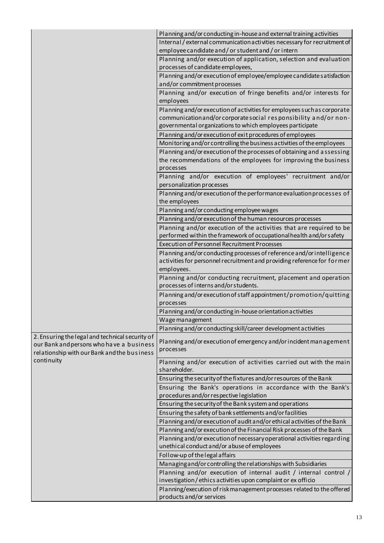|                                                 | Planning and/or conducting in-house and external training activities                                                             |
|-------------------------------------------------|----------------------------------------------------------------------------------------------------------------------------------|
|                                                 | Internal / external communication activities necessary for recruitment of                                                        |
|                                                 | employee candidate and / or student and / or intern                                                                              |
|                                                 | Planning and/or execution of application, selection and evaluation                                                               |
|                                                 | processes of candidate employees,                                                                                                |
|                                                 | Planning and/or execution of employee/employee candidate satisfaction                                                            |
|                                                 | and/or commitment processes                                                                                                      |
|                                                 | Planning and/or execution of fringe benefits and/or interests for                                                                |
|                                                 | employees                                                                                                                        |
|                                                 | Planning and/or execution of activities for employees such as corporate                                                          |
|                                                 | communication and/or corporate social responsibility and/or non-                                                                 |
|                                                 | governmental organizations to which employees participate                                                                        |
|                                                 | Planning and/or execution of exit procedures of employees                                                                        |
|                                                 | Monitoring and/or controlling the business activities of the employees                                                           |
|                                                 | Planning and/or execution of the processes of obtaining and assessing                                                            |
|                                                 | the recommendations of the employees for improving the business                                                                  |
|                                                 | processes                                                                                                                        |
|                                                 | Planning and/or execution of employees' recruitment and/or                                                                       |
|                                                 | personalization processes                                                                                                        |
|                                                 | Planning and/or execution of the performance evaluation processes of                                                             |
|                                                 | the employees                                                                                                                    |
|                                                 | Planning and/or conducting employee wages                                                                                        |
|                                                 | Planning and/or execution of the human resources processes                                                                       |
|                                                 | Planning and/or execution of the activities that are required to be                                                              |
|                                                 | performed within the framework of occupational health and/or safety                                                              |
|                                                 | <b>Execution of Personnel Recruitment Processes</b>                                                                              |
|                                                 | Planning and/or conducting processes of reference and/or intelligence                                                            |
|                                                 | activities for personnel recruitment and providing reference for for mer<br>employees.                                           |
|                                                 | Planning and/or conducting recruitment, placement and operation                                                                  |
|                                                 | processes of interns and/or students.                                                                                            |
|                                                 | Planning and/or execution of staff appointment/promotion/quitting                                                                |
|                                                 | processes                                                                                                                        |
|                                                 | Planning and/or conducting in-house orientation activities                                                                       |
|                                                 | Wage management                                                                                                                  |
|                                                 | Planning and/or conducting skill/career development activities                                                                   |
| 2. Ensuring the legal and technical security of |                                                                                                                                  |
| our Bank and persons who have a business        | Planning and/or execution of emergency and/or incident management                                                                |
| relationship with our Bank and the business     | processes                                                                                                                        |
| continuity                                      | Planning and/or execution of activities carried out with the main                                                                |
|                                                 | shareholder.                                                                                                                     |
|                                                 | Ensuring the security of the fixtures and/or resources of the Bank                                                               |
|                                                 | Ensuring the Bank's operations in accordance with the Bank's                                                                     |
|                                                 | procedures and/or respective legislation                                                                                         |
|                                                 | Ensuring the security of the Bank system and operations                                                                          |
|                                                 | Ensuring the safety of bank settlements and/or facilities                                                                        |
|                                                 | Planning and/or execution of audit and/or ethical activities of the Bank                                                         |
|                                                 | Planning and/or execution of the Financial Risk processes of the Bank                                                            |
|                                                 | Planning and/or execution of necessary operational activities regarding                                                          |
|                                                 | unethical conduct and/or abuse of employees                                                                                      |
|                                                 | Follow-up of the legal affairs                                                                                                   |
|                                                 | Managing and/or controlling the relationships with Subsidiaries                                                                  |
|                                                 | Planning and/or execution of internal audit / internal control /<br>investigation/ethics activities upon complaint or ex officio |
|                                                 | Planning/execution of risk management processes related to the offered                                                           |
|                                                 | products and/or services                                                                                                         |
|                                                 |                                                                                                                                  |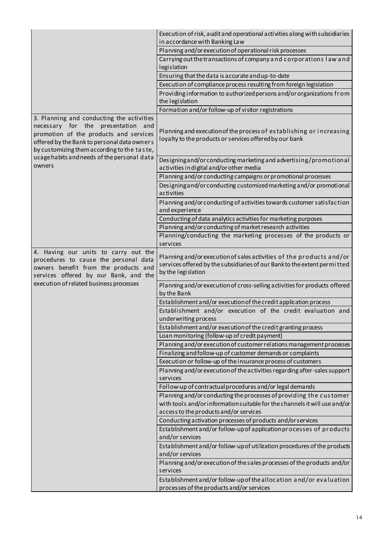|                                                                                                                                                                                                                         | Execution of risk, audit and operational activities along with subsidiaries<br>in accordance with Banking Law                                                         |
|-------------------------------------------------------------------------------------------------------------------------------------------------------------------------------------------------------------------------|-----------------------------------------------------------------------------------------------------------------------------------------------------------------------|
|                                                                                                                                                                                                                         | Planning and/or execution of operational risk processes                                                                                                               |
|                                                                                                                                                                                                                         | Carrying out the transactions of company and corporations law and<br>legislation                                                                                      |
|                                                                                                                                                                                                                         | Ensuring that the data is accurate and up-to-date                                                                                                                     |
|                                                                                                                                                                                                                         | Execution of compliance process resulting from foreign legislation                                                                                                    |
|                                                                                                                                                                                                                         | Providing information to authorized persons and/or organizations from                                                                                                 |
|                                                                                                                                                                                                                         | the legislation                                                                                                                                                       |
|                                                                                                                                                                                                                         | Formation and/or follow-up of visitor registrations                                                                                                                   |
| 3. Planning and conducting the activities<br>necessary for the presentation and<br>promotion of the products and services<br>offered by the Bank to personal data owners<br>by customizing them according to the taste, | Planning and execution of the process of establishing or increasing<br>loyalty to the products or services offered by our bank                                        |
| usage habits and needs of the personal data<br>owners                                                                                                                                                                   | Designing and/or conducting marketing and advertising/promotional<br>activities in digital and/or other media                                                         |
|                                                                                                                                                                                                                         | Planning and/or conducting campaigns or promotional processes                                                                                                         |
|                                                                                                                                                                                                                         | Designing and/or conducting customized marketing and/or promotional<br>activities                                                                                     |
|                                                                                                                                                                                                                         | Planning and/or conducting of activities towards customer satisfaction<br>and experience                                                                              |
|                                                                                                                                                                                                                         | Conducting of data analytics activities for marketing purposes                                                                                                        |
|                                                                                                                                                                                                                         | Planning and/or conducting of market research activities                                                                                                              |
|                                                                                                                                                                                                                         | Planning/conducting the marketing processes of the products or                                                                                                        |
|                                                                                                                                                                                                                         | services                                                                                                                                                              |
| 4. Having our units to carry out the<br>procedures to cause the personal data<br>owners benefit from the products and<br>services offered by our Bank, and the                                                          | Planning and/or execution of sales activities of the products and/or<br>services offered by the subsidiaries of our Bankto the extent permitted<br>by the legislation |
| execution of related business processes                                                                                                                                                                                 | Planning and/or execution of cross-selling activities for products offered<br>by the Bank                                                                             |
|                                                                                                                                                                                                                         | Establishment and/or execution of the credit application process                                                                                                      |
|                                                                                                                                                                                                                         | Establishment and/or execution of the credit evaluation and<br>underwriting process                                                                                   |
|                                                                                                                                                                                                                         | Establishment and/or execution of the credit granting process                                                                                                         |
|                                                                                                                                                                                                                         | Loan monitoring (follow-up of credit payment)                                                                                                                         |
|                                                                                                                                                                                                                         | Planning and/or execution of customer relations management processes                                                                                                  |
|                                                                                                                                                                                                                         | Finalizing and follow-up of customer demands or complaints                                                                                                            |
|                                                                                                                                                                                                                         | Execution or follow-up of the insurance process of customers                                                                                                          |
|                                                                                                                                                                                                                         | Planning and/or execution of the activities regarding after-sales support<br>services                                                                                 |
|                                                                                                                                                                                                                         | Follow-up of contractual procedures and/or legal demands                                                                                                              |
|                                                                                                                                                                                                                         | Planning and/or conducting the processes of providing the customer                                                                                                    |
|                                                                                                                                                                                                                         | with tools and/or information suitable for the channels it will use and/or                                                                                            |
|                                                                                                                                                                                                                         | access to the products and/or services                                                                                                                                |
|                                                                                                                                                                                                                         | Conducting activation processes of products and/or services                                                                                                           |
|                                                                                                                                                                                                                         | Establishment and/or follow-up of application processes of products<br>and/or services                                                                                |
|                                                                                                                                                                                                                         | Establishment and/or follow-up of utilization procedures of the products<br>and/or services                                                                           |
|                                                                                                                                                                                                                         | Planning and/or execution of the sales processes of the products and/or<br>services                                                                                   |
|                                                                                                                                                                                                                         | Establishment and/or follow-up of the allocation and/or evaluation<br>processes of the products and/or services                                                       |